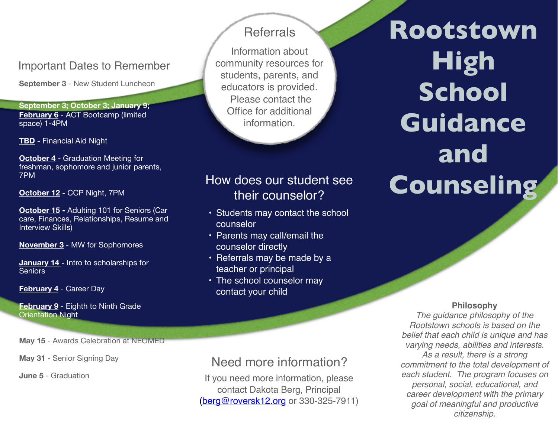### Important Dates to Remember

**September 3** - New Student Luncheon

**September 3; October 3; January 9; February 6** - ACT Bootcamp (limited space) 1-4PM

**TBD -** Financial Aid Night

**October 4** - Graduation Meeting for freshman, sophomore and junior parents, 7PM

**October 12 -** CCP Night, 7PM

**October 15 -** Adulting 101 for Seniors (Car care, Finances, Relationships, Resume and Interview Skills)

**November 3** - MW for Sophomores

**January 14 -** Intro to scholarships for Seniors

**February 4** - Career Day

**February 9** - Eighth to Ninth Grade Orientation Night

**May 15** - Awards Celebration at NEOMED

May 31 - Senior Signing Day

**June 5** - Graduation

### **Referrals**

Information about community resources for students, parents, and educators is provided. Please contact the Office for additional information.

# How does our student see their counselor?

- Students may contact the school counselor
- Parents may call/email the counselor directly
- Referrals may be made by a teacher or principal
- The school counselor may contact your child

# Need more information?

If you need more information, please contact Dakota Berg, Principal [\(berg@roversk12.org](mailto:berg@roversk12.org) or 330-325-7911)

**Rootstown High School Guidance and Counseling** 

#### **Philosophy**

*The guidance philosophy of the Rootstown schools is based on the belief that each child is unique and has varying needs, abilities and interests. As a result, there is a strong commitment to the total development of each student. The program focuses on personal, social, educational, and career development with the primary goal of meaningful and productive citizenship.*